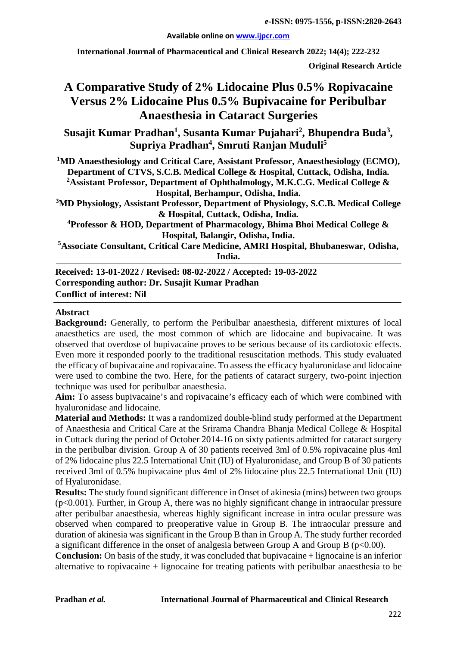#### **Available online on [www.ijpcr.com](http://www.ijpcr.com/)**

**International Journal of Pharmaceutical and Clinical Research 2022; 14(4); 222-232**

**Original Research Article**

# **A Comparative Study of 2% Lidocaine Plus 0.5% Ropivacaine Versus 2% Lidocaine Plus 0.5% Bupivacaine for Peribulbar Anaesthesia in Cataract Surgeries**

Susajit Kumar Pradhan<sup>1</sup>, Susanta Kumar Pujahari<sup>2</sup>, Bhupendra Buda<sup>3</sup>, **Supriya Pradhan4 , Smruti Ranjan Muduli5**

<sup>1</sup>MD Anaesthesiology and Critical Care, Assistant Professor, Anaesthesiology (ECMO), **Department of CTVS, S.C.B. Medical College & Hospital, Cuttack, Odisha, India. 2 Assistant Professor, Department of Ophthalmology, M.K.C.G. Medical College & Hospital, Berhampur, Odisha, India. 3 MD Physiology, Assistant Professor, Department of Physiology, S.C.B. Medical College & Hospital, Cuttack, Odisha, India. 4 Professor & HOD, Department of Pharmacology, Bhima Bhoi Medical College & Hospital, Balangir, Odisha, India. 5 Associate Consultant, Critical Care Medicine, AMRI Hospital, Bhubaneswar, Odisha, India.**

**Received: 13-01-2022 / Revised: 08-02-2022 / Accepted: 19-03-2022 Corresponding author: Dr. Susajit Kumar Pradhan Conflict of interest: Nil**

#### **Abstract**

**Background:** Generally, to perform the Peribulbar anaesthesia, different mixtures of local anaesthetics are used, the most common of which are lidocaine and bupivacaine. It was observed that overdose of bupivacaine proves to be serious because of its cardiotoxic effects. Even more it responded poorly to the traditional resuscitation methods. This study evaluated the efficacy of bupivacaine and ropivacaine. To assess the efficacy hyaluronidase and lidocaine were used to combine the two. Here, for the patients of cataract surgery, two-point injection technique was used for peribulbar anaesthesia.

**Aim:** To assess bupivacaine's and ropivacaine's efficacy each of which were combined with hyaluronidase and lidocaine.

**Material and Methods:** It was a randomized double-blind study performed at the Department of Anaesthesia and Critical Care at the Srirama Chandra Bhanja Medical College & Hospital in Cuttack during the period of October 2014-16 on sixty patients admitted for cataract surgery in the peribulbar division. Group A of 30 patients received 3ml of 0.5% ropivacaine plus 4ml of 2% lidocaine plus 22.5 International Unit (IU) of Hyaluronidase, and Group B of 30 patients received 3ml of 0.5% bupivacaine plus 4ml of 2% lidocaine plus 22.5 International Unit (IU) of Hyaluronidase.

**Results:** The study found significant difference in Onset of akinesia (mins) between two groups (p<0.001). Further, in Group A, there was no highly significant change in intraocular pressure after peribulbar anaesthesia, whereas highly significant increase in intra ocular pressure was observed when compared to preoperative value in Group B. The intraocular pressure and duration of akinesia was significant in the Group B than in Group A. The study further recorded a significant difference in the onset of analgesia between Group A and Group B ( $p<0.00$ ).

**Conclusion:** On basis of the study, it was concluded that bupivacaine + lignocaine is an inferior alternative to ropivacaine  $+$  lignocaine for treating patients with peribulbar anaesthesia to be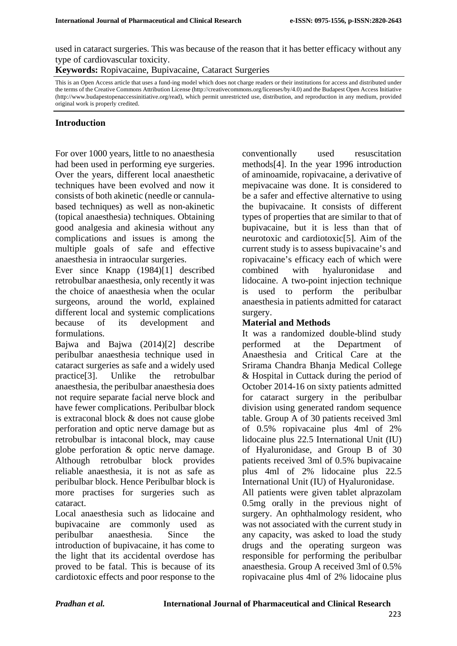used in cataract surgeries. This was because of the reason that it has better efficacy without any type of cardiovascular toxicity.

**Keywords:** Ropivacaine, Bupivacaine, Cataract Surgeries

This is an Open Access article that uses a fund-ing model which does not charge readers or their institutions for access and distributed under the terms of the Creative Commons Attribution License (http://creativecommons.org/licenses/by/4.0) and the Budapest Open Access Initiative (http://www.budapestopenaccessinitiative.org/read), which permit unrestricted use, distribution, and reproduction in any medium, provided original work is properly credited.

# **Introduction**

For over 1000 years, little to no anaesthesia had been used in performing eye surgeries. Over the years, different local anaesthetic techniques have been evolved and now it consists of both akinetic (needle or cannulabased techniques) as well as non-akinetic (topical anaesthesia) techniques. Obtaining good analgesia and akinesia without any complications and issues is among the multiple goals of safe and effective anaesthesia in intraocular surgeries.

Ever since Knapp (1984)[1] described retrobulbar anaesthesia, only recently it was the choice of anaesthesia when the ocular surgeons, around the world, explained different local and systemic complications because of its development and formulations.

Bajwa and Bajwa (2014)[2] describe peribulbar anaesthesia technique used in cataract surgeries as safe and a widely used practice[3]. Unlike the retrobulbar anaesthesia, the peribulbar anaesthesia does not require separate facial nerve block and have fewer complications. Peribulbar block is extraconal block & does not cause globe perforation and optic nerve damage but as retrobulbar is intaconal block, may cause globe perforation & optic nerve damage. Although retrobulbar block provides reliable anaesthesia, it is not as safe as peribulbar block. Hence Peribulbar block is more practises for surgeries such as cataract.

Local anaesthesia such as lidocaine and bupivacaine are commonly used as peribulbar anaesthesia. Since the introduction of bupivacaine, it has come to the light that its accidental overdose has proved to be fatal. This is because of its cardiotoxic effects and poor response to the

conventionally used resuscitation methods[4]. In the year 1996 introduction of aminoamide, ropivacaine, a derivative of mepivacaine was done. It is considered to be a safer and effective alternative to using the bupivacaine. It consists of different types of properties that are similar to that of bupivacaine, but it is less than that of neurotoxic and cardiotoxic[5]. Aim of the current study is to assess bupivacaine's and ropivacaine's efficacy each of which were combined with hyaluronidase and lidocaine. A two-point injection technique is used to perform the peribulbar anaesthesia in patients admitted for cataract surgery.

# **Material and Methods**

It was a randomized double-blind study performed at the Department of Anaesthesia and Critical Care at the Srirama Chandra Bhanja Medical College & Hospital in Cuttack during the period of October 2014-16 on sixty patients admitted for cataract surgery in the peribulbar division using generated random sequence table. Group A of 30 patients received 3ml of 0.5% ropivacaine plus 4ml of 2% lidocaine plus 22.5 International Unit (IU) of Hyaluronidase, and Group B of 30 patients received 3ml of 0.5% bupivacaine plus 4ml of 2% lidocaine plus 22.5 International Unit (IU) of Hyaluronidase.

All patients were given tablet alprazolam 0.5mg orally in the previous night of surgery. An ophthalmology resident, who was not associated with the current study in any capacity, was asked to load the study drugs and the operating surgeon was responsible for performing the peribulbar anaesthesia. Group A received 3ml of 0.5% ropivacaine plus 4ml of 2% lidocaine plus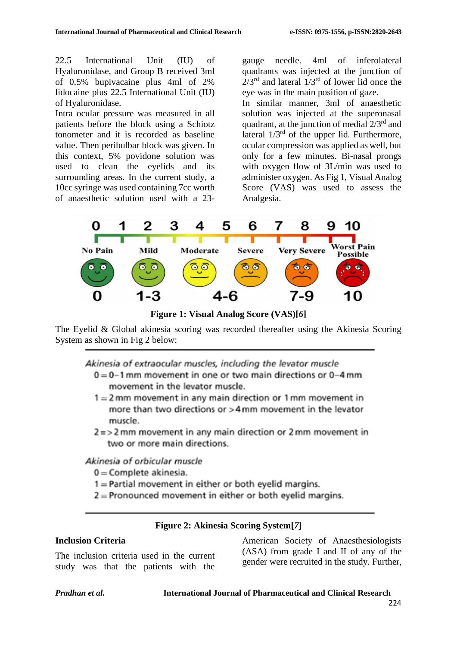22.5 International Unit (IU) of Hyaluronidase, and Group B received 3ml of 0.5% bupivacaine plus 4ml of 2% lidocaine plus 22.5 International Unit (IU) of Hyaluronidase.

Intra ocular pressure was measured in all patients before the block using a Schiotz tonometer and it is recorded as baseline value. Then peribulbar block was given. In this context, 5% povidone solution was used to clean the eyelids and its surrounding areas. In the current study, a 10cc syringe was used containing 7cc worth of anaesthetic solution used with a 23gauge needle. 4ml of inferolateral quadrants was injected at the junction of  $2/3^{rd}$  and lateral  $1/3^{rd}$  of lower lid once the eye was in the main position of gaze.

In similar manner, 3ml of anaesthetic solution was injected at the superonasal quadrant, at the junction of medial  $2/3<sup>rd</sup>$  and lateral  $1/3^{rd}$  of the upper lid. Furthermore, ocular compression was applied as well, but only for a few minutes. Bi-nasal prongs with oxygen flow of 3L/min was used to administer oxygen. As Fig 1, Visual Analog Score (VAS) was used to assess the Analgesia.



**Figure 1: Visual Analog Score (VAS)[***6***]**

The Eyelid & Global akinesia scoring was recorded thereafter using the Akinesia Scoring System as shown in Fig 2 below:

Akinesia of extraocular muscles, including the levator muscle

- $0 = 0 1$  mm movement in one or two main directions or  $0 4$  mm movement in the levator muscle.
- $1 = 2$  mm movement in any main direction or 1 mm movement in more than two directions or >4 mm movement in the levator muscle.
- $2 = 2$  mm movement in any main direction or  $2$  mm movement in two or more main directions.

# Akinesia of orbicular muscle

- $0 =$ Complete akinesia.
- $1 =$ Partial movement in either or both evelid margins.
- $2$  = Pronounced movement in either or both eyelid margins.

# **Figure 2: Akinesia Scoring System[***7***]**

### **Inclusion Criteria**

The inclusion criteria used in the current study was that the patients with the American Society of Anaesthesiologists (ASA) from grade I and II of any of the gender were recruited in the study. Further,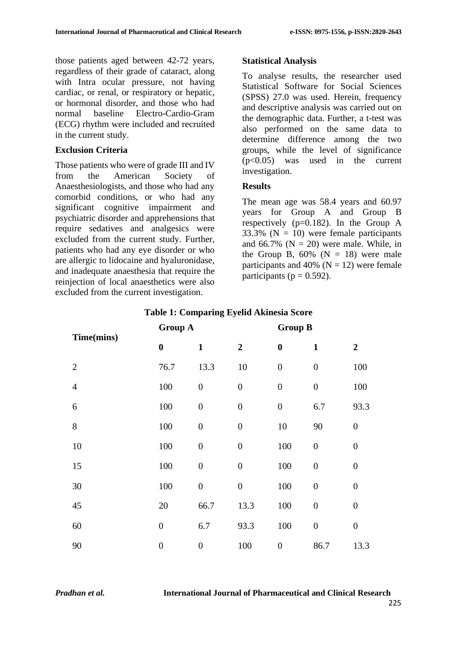those patients aged between 42-72 years, regardless of their grade of cataract, along with Intra ocular pressure, not having cardiac, or renal, or respiratory or hepatic, or hormonal disorder, and those who had normal baseline Electro-Cardio-Gram (ECG) rhythm were included and recruited in the current study.

### **Exclusion Criteria**

Those patients who were of grade III and IV from the American Society of Anaesthesiologists, and those who had any comorbid conditions, or who had any significant cognitive impairment and psychiatric disorder and apprehensions that require sedatives and analgesics were excluded from the current study. Further, patients who had any eye disorder or who are allergic to lidocaine and hyaluronidase, and inadequate anaesthesia that require the reinjection of local anaesthetics were also excluded from the current investigation.

### **Statistical Analysis**

To analyse results, the researcher used Statistical Software for Social Sciences (SPSS) 27.0 was used. Herein, frequency and descriptive analysis was carried out on the demographic data. Further, a t-test was also performed on the same data to determine difference among the two groups, while the level of significance (p<0.05) was used in the current investigation.

### **Results**

The mean age was 58.4 years and 60.97 years for Group A and Group B respectively ( $p=0.182$ ). In the Group A 33.3% ( $N = 10$ ) were female participants and 66.7% ( $N = 20$ ) were male. While, in the Group B,  $60\%$  (N = 18) were male participants and 40% ( $N = 12$ ) were female participants ( $p = 0.592$ ).

|                | <b>Group A</b>   |                  | <b>Group B</b>   |                  |                  |                  |
|----------------|------------------|------------------|------------------|------------------|------------------|------------------|
| Time(mins)     | $\boldsymbol{0}$ | $\mathbf{1}$     | $\boldsymbol{2}$ | $\boldsymbol{0}$ | $\mathbf{1}$     | $\overline{2}$   |
| $\overline{2}$ | 76.7             | 13.3             | 10               | $\boldsymbol{0}$ | $\boldsymbol{0}$ | 100              |
| $\overline{4}$ | 100              | $\boldsymbol{0}$ | $\boldsymbol{0}$ | $\boldsymbol{0}$ | $\boldsymbol{0}$ | 100              |
| 6              | 100              | $\boldsymbol{0}$ | $\boldsymbol{0}$ | $\boldsymbol{0}$ | 6.7              | 93.3             |
| 8              | 100              | $\boldsymbol{0}$ | $\boldsymbol{0}$ | 10               | 90               | $\boldsymbol{0}$ |
| 10             | 100              | $\boldsymbol{0}$ | $\boldsymbol{0}$ | 100              | $\boldsymbol{0}$ | $\overline{0}$   |
| 15             | 100              | $\boldsymbol{0}$ | $\boldsymbol{0}$ | 100              | $\overline{0}$   | $\overline{0}$   |
| 30             | 100              | $\boldsymbol{0}$ | $\boldsymbol{0}$ | 100              | $\overline{0}$   | $\overline{0}$   |
| 45             | 20               | 66.7             | 13.3             | 100              | $\boldsymbol{0}$ | $\boldsymbol{0}$ |
| 60             | $\boldsymbol{0}$ | 6.7              | 93.3             | 100              | $\boldsymbol{0}$ | $\boldsymbol{0}$ |
| 90             | $\overline{0}$   | $\boldsymbol{0}$ | 100              | $\boldsymbol{0}$ | 86.7             | 13.3             |

### **Table 1: Comparing Eyelid Akinesia Score**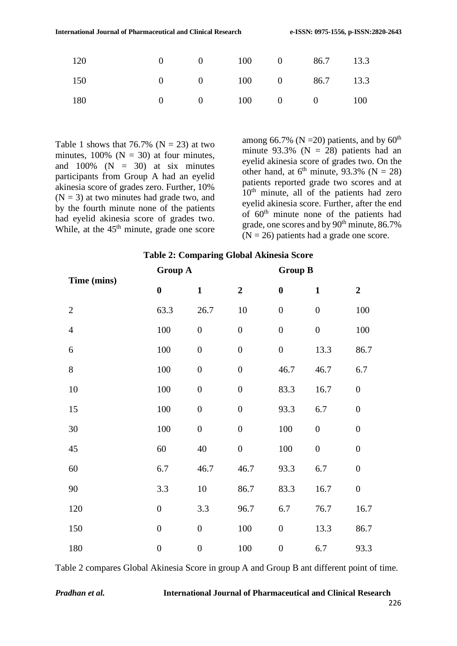| 0 0 100 0 86.7 13.3<br>120              |  |  |  |
|-----------------------------------------|--|--|--|
| 0 0 100 0 86.7 13.3<br>150              |  |  |  |
| $0 \t 0 \t 100 \t 0 \t 0 \t 100$<br>180 |  |  |  |

Table 1 shows that 76.7% ( $N = 23$ ) at two minutes,  $100\%$  (N = 30) at four minutes, and  $100\%$  (N = 30) at six minutes participants from Group A had an eyelid akinesia score of grades zero. Further, 10%  $(N = 3)$  at two minutes had grade two, and by the fourth minute none of the patients had eyelid akinesia score of grades two. While, at the  $45<sup>th</sup>$  minute, grade one score

among 66.7% (N = 20) patients, and by  $60<sup>th</sup>$ minute  $93.3\%$  (N = 28) patients had an eyelid akinesia score of grades two. On the other hand, at  $6<sup>th</sup>$  minute, 93.3% (N = 28) patients reported grade two scores and at 10<sup>th</sup> minute, all of the patients had zero eyelid akinesia score. Further, after the end of  $60<sup>th</sup>$  minute none of the patients had grade, one scores and by  $90<sup>th</sup>$  minute, 86.7%  $(N = 26)$  patients had a grade one score.

#### **Table 2: Comparing Global Akinesia Score**

| Time (mins)    | <b>Group A</b>   |                  | <b>Group B</b>   |                  |                  |                  |
|----------------|------------------|------------------|------------------|------------------|------------------|------------------|
|                | $\boldsymbol{0}$ | $\mathbf{1}$     | $\overline{2}$   | $\boldsymbol{0}$ | $\mathbf{1}$     | $\overline{2}$   |
| $\overline{2}$ | 63.3             | 26.7             | $10\,$           | $\boldsymbol{0}$ | $\boldsymbol{0}$ | 100              |
| $\overline{4}$ | 100              | $\boldsymbol{0}$ | $\boldsymbol{0}$ | $\boldsymbol{0}$ | $\overline{0}$   | 100              |
| 6              | 100              | $\boldsymbol{0}$ | $\boldsymbol{0}$ | $\boldsymbol{0}$ | 13.3             | 86.7             |
| 8              | 100              | $\boldsymbol{0}$ | $\boldsymbol{0}$ | 46.7             | 46.7             | 6.7              |
| 10             | 100              | $\boldsymbol{0}$ | $\boldsymbol{0}$ | 83.3             | 16.7             | $\boldsymbol{0}$ |
| 15             | 100              | $\boldsymbol{0}$ | $\boldsymbol{0}$ | 93.3             | 6.7              | $\boldsymbol{0}$ |
| 30             | 100              | $\boldsymbol{0}$ | $\boldsymbol{0}$ | 100              | $\boldsymbol{0}$ | $\boldsymbol{0}$ |
| 45             | 60               | 40               | $\boldsymbol{0}$ | 100              | $\boldsymbol{0}$ | $\boldsymbol{0}$ |
| 60             | 6.7              | 46.7             | 46.7             | 93.3             | 6.7              | $\boldsymbol{0}$ |
| 90             | 3.3              | $10\,$           | 86.7             | 83.3             | 16.7             | $\boldsymbol{0}$ |
| 120            | $\boldsymbol{0}$ | 3.3              | 96.7             | 6.7              | 76.7             | 16.7             |
| 150            | $\overline{0}$   | $\boldsymbol{0}$ | 100              | $\boldsymbol{0}$ | 13.3             | 86.7             |
| 180            | $\boldsymbol{0}$ | $\boldsymbol{0}$ | 100              | $\boldsymbol{0}$ | 6.7              | 93.3             |

Table 2 compares Global Akinesia Score in group A and Group B ant different point of time.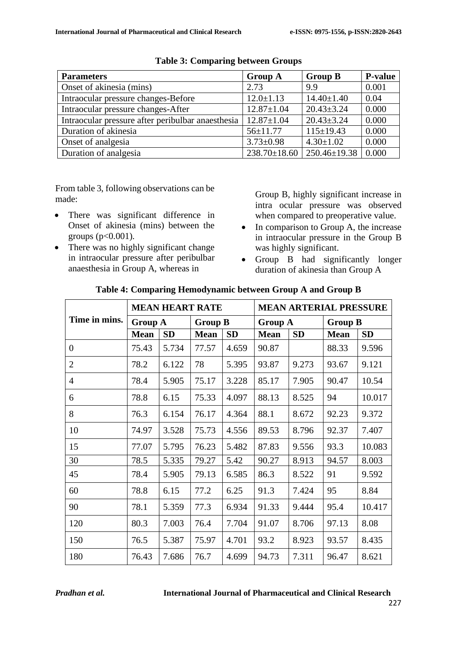| <b>Parameters</b>                                 | <b>Group A</b>   | <b>Group B</b>                          | <b>P-value</b> |
|---------------------------------------------------|------------------|-----------------------------------------|----------------|
| Onset of akinesia (mins)                          | 2.73             | 9.9                                     | 0.001          |
| Intraocular pressure changes-Before               | $12.0 \pm 1.13$  | $14.40 \pm 1.40$                        | 0.04           |
| Intraocular pressure changes-After                | $12.87 \pm 1.04$ | $20.43 \pm 3.24$                        | 0.000          |
| Intraocular pressure after peribulbar anaesthesia | $12.87 \pm 1.04$ | $20.43 \pm 3.24$                        | 0.000          |
| Duration of akinesia                              | $56 \pm 11.77$   | $115 \pm 19.43$                         | 0.000          |
| Onset of analgesia                                | $3.73 \pm 0.98$  | $4.30 \pm 1.02$                         | 0.000          |
| Duration of analgesia                             |                  | $238.70 \pm 18.60$   $250.46 \pm 19.38$ | 0.000          |

**Table 3: Comparing between Groups**

From table 3, following observations can be made:

- There was significant difference in Onset of akinesia (mins) between the groups ( $p<0.001$ ).
- There was no highly significant change in intraocular pressure after peribulbar anaesthesia in Group A, whereas in

Group B, highly significant increase in intra ocular pressure was observed when compared to preoperative value.

- In comparison to Group A, the increase in intraocular pressure in the Group B was highly significant.
- Group B had significantly longer duration of akinesia than Group A

|                | <b>MEAN HEART RATE</b> |           |                |           | <b>MEAN ARTERIAL PRESSURE</b> |           |                |           |
|----------------|------------------------|-----------|----------------|-----------|-------------------------------|-----------|----------------|-----------|
| Time in mins.  | <b>Group A</b>         |           | <b>Group B</b> |           | <b>Group A</b>                |           | <b>Group B</b> |           |
|                | <b>Mean</b>            | <b>SD</b> | <b>Mean</b>    | <b>SD</b> | <b>Mean</b>                   | <b>SD</b> | <b>Mean</b>    | <b>SD</b> |
| $\overline{0}$ | 75.43                  | 5.734     | 77.57          | 4.659     | 90.87                         |           | 88.33          | 9.596     |
| $\overline{2}$ | 78.2                   | 6.122     | 78             | 5.395     | 93.87                         | 9.273     | 93.67          | 9.121     |
| $\overline{4}$ | 78.4                   | 5.905     | 75.17          | 3.228     | 85.17                         | 7.905     | 90.47          | 10.54     |
| 6              | 78.8                   | 6.15      | 75.33          | 4.097     | 88.13                         | 8.525     | 94             | 10.017    |
| 8              | 76.3                   | 6.154     | 76.17          | 4.364     | 88.1                          | 8.672     | 92.23          | 9.372     |
| 10             | 74.97                  | 3.528     | 75.73          | 4.556     | 89.53                         | 8.796     | 92.37          | 7.407     |
| 15             | 77.07                  | 5.795     | 76.23          | 5.482     | 87.83                         | 9.556     | 93.3           | 10.083    |
| 30             | 78.5                   | 5.335     | 79.27          | 5.42      | 90.27                         | 8.913     | 94.57          | 8.003     |
| 45             | 78.4                   | 5.905     | 79.13          | 6.585     | 86.3                          | 8.522     | 91             | 9.592     |
| 60             | 78.8                   | 6.15      | 77.2           | 6.25      | 91.3                          | 7.424     | 95             | 8.84      |
| 90             | 78.1                   | 5.359     | 77.3           | 6.934     | 91.33                         | 9.444     | 95.4           | 10.417    |
| 120            | 80.3                   | 7.003     | 76.4           | 7.704     | 91.07                         | 8.706     | 97.13          | 8.08      |
| 150            | 76.5                   | 5.387     | 75.97          | 4.701     | 93.2                          | 8.923     | 93.57          | 8.435     |
| 180            | 76.43                  | 7.686     | 76.7           | 4.699     | 94.73                         | 7.311     | 96.47          | 8.621     |

### **Table 4: Comparing Hemodynamic between Group A and Group B**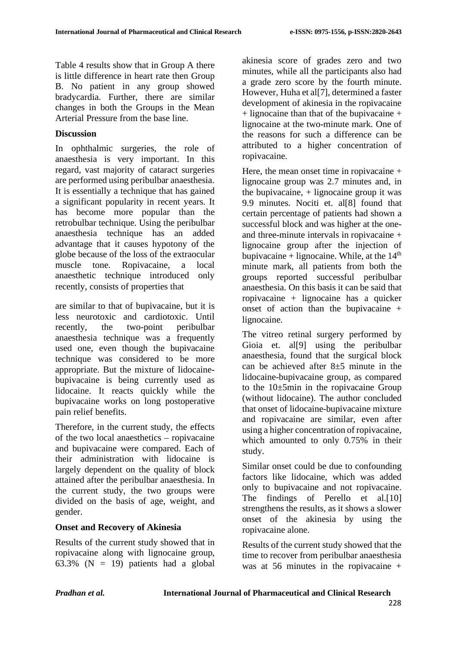Table 4 results show that in Group A there is little difference in heart rate then Group B. No patient in any group showed bradycardia. Further, there are similar changes in both the Groups in the Mean Arterial Pressure from the base line.

# **Discussion**

In ophthalmic surgeries, the role of anaesthesia is very important. In this regard, vast majority of cataract surgeries are performed using peribulbar anaesthesia. It is essentially a technique that has gained a significant popularity in recent years. It has become more popular than the retrobulbar technique. Using the peribulbar anaesthesia technique has an added advantage that it causes hypotony of the globe because of the loss of the extraocular muscle tone. Ropivacaine, a local anaesthetic technique introduced only recently, consists of properties that

are similar to that of bupivacaine, but it is less neurotoxic and cardiotoxic. Until recently, the two-point peribulbar anaesthesia technique was a frequently used one, even though the bupivacaine technique was considered to be more appropriate. But the mixture of lidocainebupivacaine is being currently used as lidocaine. It reacts quickly while the bupivacaine works on long postoperative pain relief benefits.

Therefore, in the current study, the effects of the two local anaesthetics – ropivacaine and bupivacaine were compared. Each of their administration with lidocaine is largely dependent on the quality of block attained after the peribulbar anaesthesia. In the current study, the two groups were divided on the basis of age, weight, and gender.

# **Onset and Recovery of Akinesia**

Results of the current study showed that in ropivacaine along with lignocaine group, 63.3% ( $N = 19$ ) patients had a global akinesia score of grades zero and two minutes, while all the participants also had a grade zero score by the fourth minute. However, Huha et al<sup>[7]</sup>, determined a faster development of akinesia in the ropivacaine  $+$  lignocaine than that of the bupivacaine  $+$ lignocaine at the two-minute mark. One of the reasons for such a difference can be attributed to a higher concentration of ropivacaine.

Here, the mean onset time in ropivacaine + lignocaine group was 2.7 minutes and, in the bupivacaine, + lignocaine group it was 9.9 minutes. Nociti et. al[8] found that certain percentage of patients had shown a successful block and was higher at the oneand three-minute intervals in ropivacaine + lignocaine group after the injection of bupivacaine + lignocaine. While, at the  $14<sup>th</sup>$ minute mark, all patients from both the groups reported successful peribulbar anaesthesia. On this basis it can be said that ropivacaine + lignocaine has a quicker onset of action than the bupivacaine + lignocaine.

The vitreo retinal surgery performed by Gioia et. all<sup>[9]</sup> using the peribulbar anaesthesia, found that the surgical block can be achieved after  $8\pm 5$  minute in the lidocaine-bupivacaine group, as compared to the 10±5min in the ropivacaine Group (without lidocaine). The author concluded that onset of lidocaine-bupivacaine mixture and ropivacaine are similar, even after using a higher concentration of ropivacaine, which amounted to only 0.75% in their study.

Similar onset could be due to confounding factors like lidocaine, which was added only to bupivacaine and not ropivacaine. The findings of Perello et al.<sup>[10]</sup> strengthens the results, as it shows a slower onset of the akinesia by using the ropivacaine alone.

Results of the current study showed that the time to recover from peribulbar anaesthesia was at 56 minutes in the ropivacaine +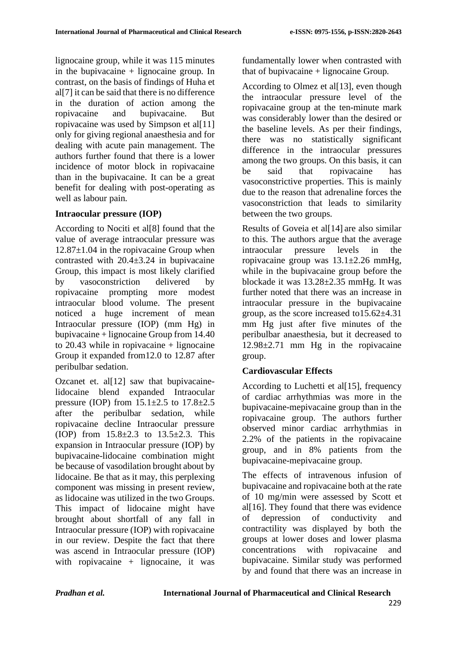lignocaine group, while it was 115 minutes in the bupivacaine  $+$  lignocaine group. In contrast, on the basis of findings of Huha et al[7] it can be said that there is no difference in the duration of action among the ropivacaine and bupivacaine. But ropivacaine was used by Simpson et al[11] only for giving regional anaesthesia and for dealing with acute pain management. The authors further found that there is a lower incidence of motor block in ropivacaine than in the bupivacaine. It can be a great benefit for dealing with post-operating as well as labour pain.

# **Intraocular pressure (IOP)**

According to Nociti et al[8] found that the value of average intraocular pressure was  $12.87\pm1.04$  in the ropivacaine Group when contrasted with  $20.4 \pm 3.24$  in bupivacaine Group, this impact is most likely clarified by vasoconstriction delivered by ropivacaine prompting more modest intraocular blood volume. The present noticed a huge increment of mean Intraocular pressure (IOP) (mm Hg) in bupivacaine + lignocaine Group from 14.40 to  $20.43$  while in ropivacaine + lignocaine Group it expanded from12.0 to 12.87 after peribulbar sedation.

Ozcanet et. al<sup>[12]</sup> saw that bupivacainelidocaine blend expanded Intraocular pressure (IOP) from  $15.1 \pm 2.5$  to  $17.8 \pm 2.5$ after the peribulbar sedation, while ropivacaine decline Intraocular pressure (IOP) from  $15.8 \pm 2.3$  to  $13.5 \pm 2.3$ . This expansion in Intraocular pressure (IOP) by bupivacaine-lidocaine combination might be because of vasodilation brought about by lidocaine. Be that as it may, this perplexing component was missing in present review, as lidocaine was utilized in the two Groups. This impact of lidocaine might have brought about shortfall of any fall in Intraocular pressure (IOP) with ropivacaine in our review. Despite the fact that there was ascend in Intraocular pressure (IOP) with ropivacaine  $+$  lignocaine, it was

fundamentally lower when contrasted with that of bupivacaine  $+$  lignocaine Group.

According to Olmez et al[13], even though the intraocular pressure level of the ropivacaine group at the ten-minute mark was considerably lower than the desired or the baseline levels. As per their findings, there was no statistically significant difference in the intraocular pressures among the two groups. On this basis, it can be said that ropivacaine has vasoconstrictive properties. This is mainly due to the reason that adrenaline forces the vasoconstriction that leads to similarity between the two groups.

Results of Goveia et al[14] are also similar to this. The authors argue that the average intraocular pressure levels in the ropivacaine group was  $13.1 \pm 2.26$  mmHg, while in the bupivacaine group before the blockade it was 13.28±2.35 mmHg. It was further noted that there was an increase in intraocular pressure in the bupivacaine group, as the score increased to15.62±4.31 mm Hg just after five minutes of the peribulbar anaesthesia, but it decreased to 12.98±2.71 mm Hg in the ropivacaine group.

# **Cardiovascular Effects**

According to Luchetti et al<sup>[15]</sup>, frequency of cardiac arrhythmias was more in the bupivacaine-mepivacaine group than in the ropivacaine group. The authors further observed minor cardiac arrhythmias in 2.2% of the patients in the ropivacaine group, and in 8% patients from the bupivacaine-mepivacaine group.

The effects of intravenous infusion of bupivacaine and ropivacaine both at the rate of 10 mg/min were assessed by Scott et al $[16]$ . They found that there was evidence of depression of conductivity and contractility was displayed by both the groups at lower doses and lower plasma concentrations with ropivacaine and bupivacaine. Similar study was performed by and found that there was an increase in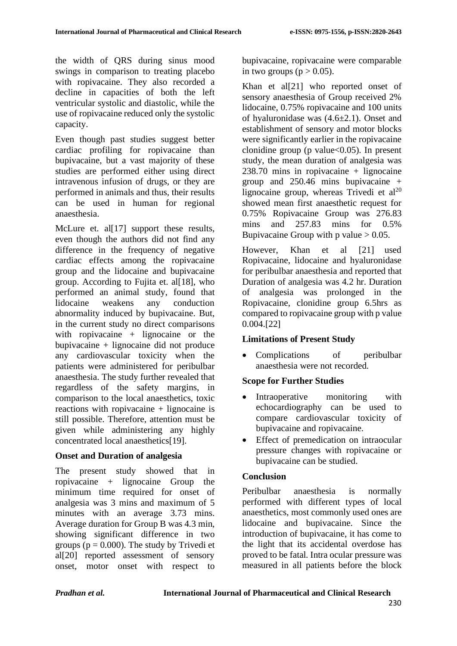the width of QRS during sinus mood swings in comparison to treating placebo with ropivacaine. They also recorded a decline in capacities of both the left ventricular systolic and diastolic, while the use of ropivacaine reduced only the systolic capacity.

Even though past studies suggest better cardiac profiling for ropivacaine than bupivacaine, but a vast majority of these studies are performed either using direct intravenous infusion of drugs, or they are performed in animals and thus, their results can be used in human for regional anaesthesia.

McLure et. al<sup>[17]</sup> support these results, even though the authors did not find any difference in the frequency of negative cardiac effects among the ropivacaine group and the lidocaine and bupivacaine group. According to Fujita et. al[18], who performed an animal study, found that lidocaine weakens any conduction abnormality induced by bupivacaine. But, in the current study no direct comparisons with ropivacaine  $+$  lignocaine or the bupivacaine + lignocaine did not produce any cardiovascular toxicity when the patients were administered for peribulbar anaesthesia. The study further revealed that regardless of the safety margins, in comparison to the local anaesthetics, toxic reactions with ropivacaine  $+$  lignocaine is still possible. Therefore, attention must be given while administering any highly concentrated local anaesthetics[19].

### **Onset and Duration of analgesia**

The present study showed that in ropivacaine + lignocaine Group the minimum time required for onset of analgesia was 3 mins and maximum of 5 minutes with an average 3.73 mins. Average duration for Group B was 4.3 min, showing significant difference in two groups ( $p = 0.000$ ). The study by Trivedi et al[20] reported assessment of sensory onset, motor onset with respect to bupivacaine, ropivacaine were comparable in two groups ( $p > 0.05$ ).

Khan et al[21] who reported onset of sensory anaesthesia of Group received 2% lidocaine, 0.75% ropivacaine and 100 units of hyaluronidase was (4.6±2.1). Onset and establishment of sensory and motor blocks were significantly earlier in the ropivacaine clonidine group (p value $<0.05$ ). In present study, the mean duration of analgesia was  $238.70$  mins in ropivacaine + lignocaine group and 250.46 mins bupivacaine + lignocaine group, whereas Trivedi et  $al^{20}$ showed mean first anaesthetic request for 0.75% Ropivacaine Group was 276.83 mins and 257.83 mins for 0.5% Bupivacaine Group with p value  $> 0.05$ .

However, Khan et al [21] used Ropivacaine, lidocaine and hyaluronidase for peribulbar anaesthesia and reported that Duration of analgesia was 4.2 hr. Duration of analgesia was prolonged in the Ropivacaine, clonidine group 6.5hrs as compared to ropivacaine group with p value 0.004.[22]

# **Limitations of Present Study**

Complications of peribulbar anaesthesia were not recorded.

# **Scope for Further Studies**

- Intraoperative monitoring with echocardiography can be used to compare cardiovascular toxicity of bupivacaine and ropivacaine.
- Effect of premedication on intraocular pressure changes with ropivacaine or bupivacaine can be studied.

# **Conclusion**

Peribulbar anaesthesia is normally performed with different types of local anaesthetics, most commonly used ones are lidocaine and bupivacaine. Since the introduction of bupivacaine, it has come to the light that its accidental overdose has proved to be fatal. Intra ocular pressure was measured in all patients before the block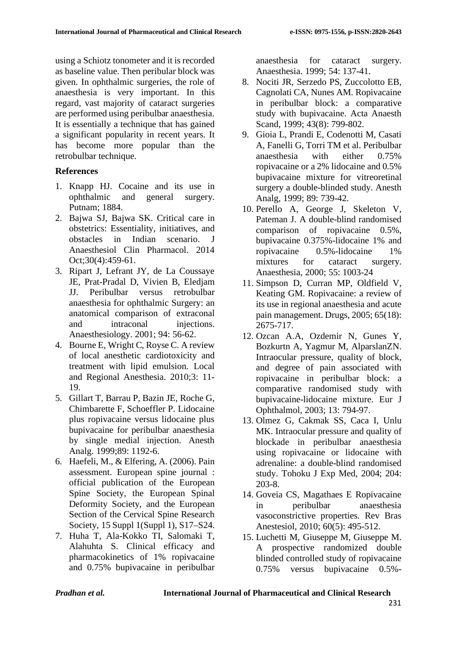using a Schiotz tonometer and it is recorded as baseline value. Then peribular block was given. In ophthalmic surgeries, the role of anaesthesia is very important. In this regard, vast majority of cataract surgeries are performed using peribulbar anaesthesia. It is essentially a technique that has gained a significant popularity in recent years. It has become more popular than the retrobulbar technique.

### **References**

- 1. Knapp HJ. Cocaine and its use in ophthalmic and general surgery. Putnam; 1884.
- 2. Bajwa SJ, Bajwa SK. Critical care in obstetrics: Essentiality, initiatives, and obstacles in Indian scenario. J Anaesthesiol Clin Pharmacol. 2014 Oct;30(4):459-61.
- 3. Ripart J, Lefrant JY, de La Coussaye JE, Prat-Pradal D, Vivien B, Eledjam JJ. Peribulbar versus retrobulbar anaesthesia for ophthalmic Surgery: an anatomical comparison of extraconal and intraconal injections. Anaesthesiology. 2001; 94: 56-62.
- 4. Bourne E, Wright C, Royse C. A review of local anesthetic cardiotoxicity and treatment with lipid emulsion. Local and Regional Anesthesia. 2010;3: 11- 19.
- 5. Gillart T, Barrau P, Bazin JE, Roche G, Chimbarette F, Schoeffler P. Lidocaine plus ropivacaine versus lidocaine plus bupivacaine for peribulbar anaesthesia by single medial injection. Anesth Analg. 1999;89: 1192-6.
- 6. Haefeli, M., & Elfering, A. (2006). Pain assessment. European spine journal : official publication of the European Spine Society, the European Spinal Deformity Society, and the European Section of the Cervical Spine Research Society, 15 Suppl 1(Suppl 1), S17–S24.
- 7. Huha T, Ala-Kokko TI, Salomaki T, Alahuhta S. Clinical efficacy and pharmacokinetics of 1% ropivacaine and 0.75% bupivacaine in peribulbar

anaesthesia for cataract surgery. Anaesthesia. 1999; 54: 137-41.

- 8. Nociti JR, Serzedo PS, Zuccolotto EB, Cagnolati CA, Nunes AM. Ropivacaine in peribulbar block: a comparative study with bupivacaine. Acta Anaesth Scand, 1999; 43(8): 799-802.
- 9. Gioia L, Prandi E, Codenotti M, Casati A, Fanelli G, Torri TM et al. Peribulbar anaesthesia with either 0.75% ropivacaine or a 2% lidocaine and 0.5% bupivacaine mixture for vitreoretinal surgery a double-blinded study. Anesth Analg, 1999; 89: 739-42.
- 10. Perello A, George J, Skeleton V, Pateman J. A double-blind randomised comparison of ropivacaine 0.5%, bupivacaine 0.375%-lidocaine 1% and ropivacaine 0.5%-lidocaine 1% mixtures for cataract surgery. Anaesthesia, 2000; 55: 1003-24
- 11. Simpson D, Curran MP, Oldfield V, Keating GM. Ropivacaine: a review of its use in regional anaesthesia and acute pain management. Drugs, 2005; 65(18): 2675-717.
- 12. Ozcan A.A, Ozdemir N, Gunes Y, Bozkurtn A, Yagmur M, AlparslanZN. Intraocular pressure, quality of block, and degree of pain associated with ropivacaine in peribulbar block: a comparative randomised study with bupivacaine-lidocaine mixture. Eur J Ophthalmol, 2003; 13: 794-97.
- 13. Olmez G, Cakmak SS, Caca I, Unlu MK. Intraocular pressure and quality of blockade in peribulbar anaesthesia using ropivacaine or lidocaine with adrenaline: a double-blind randomised study. Tohoku J Exp Med, 2004; 204: 203-8.
- 14. Goveia CS, Magathaes E Ropivacaine in peribulbar anaesthesia vasoconstrictive properties. Rev Bras Anestesiol, 2010; 60(5): 495-512.
- 15. Luchetti M, Giuseppe M, Giuseppe M. A prospective randomized double blinded controlled study of ropivacaine 0.75% versus bupivacaine 0.5%-